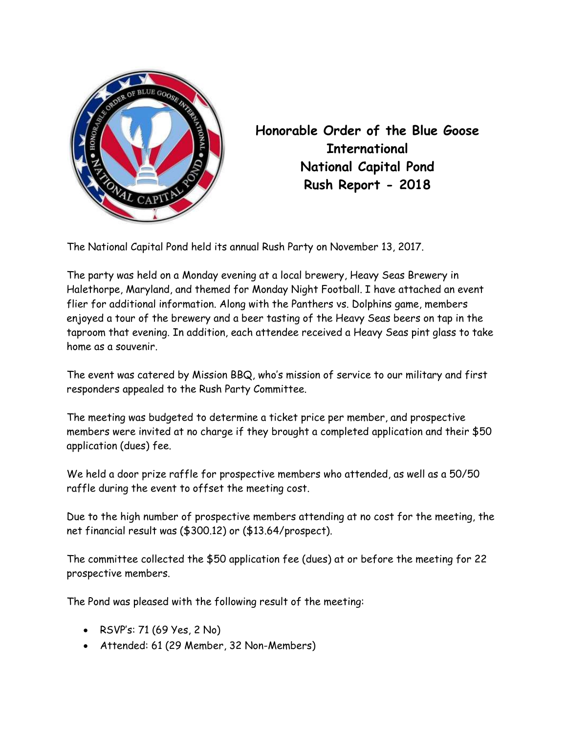

Honorable Order of the Blue Goose **International** National Capital Pond Rush Report - 2018

The National Capital Pond held its annual Rush Party on November 13, 2017.

The party was held on a Monday evening at a local brewery, Heavy Seas Brewery in Halethorpe, Maryland, and themed for Monday Night Football. I have attached an event flier for additional information. Along with the Panthers vs. Dolphins game, members enjoyed a tour of the brewery and a beer tasting of the Heavy Seas beers on tap in the taproom that evening. In addition, each attendee received a Heavy Seas pint glass to take home as a souvenir.

The event was catered by Mission BBQ, who's mission of service to our military and first responders appealed to the Rush Party Committee.

The meeting was budgeted to determine a ticket price per member, and prospective members were invited at no charge if they brought a completed application and their \$50 application (dues) fee.

We held a door prize raffle for prospective members who attended, as well as a 50/50 raffle during the event to offset the meeting cost.

Due to the high number of prospective members attending at no cost for the meeting, the net financial result was (\$300.12) or (\$13.64/prospect).

The committee collected the \$50 application fee (dues) at or before the meeting for 22 prospective members.

The Pond was pleased with the following result of the meeting:

- RSVP's: 71 (69 Yes, 2 No)
- Attended: 61 (29 Member, 32 Non-Members)